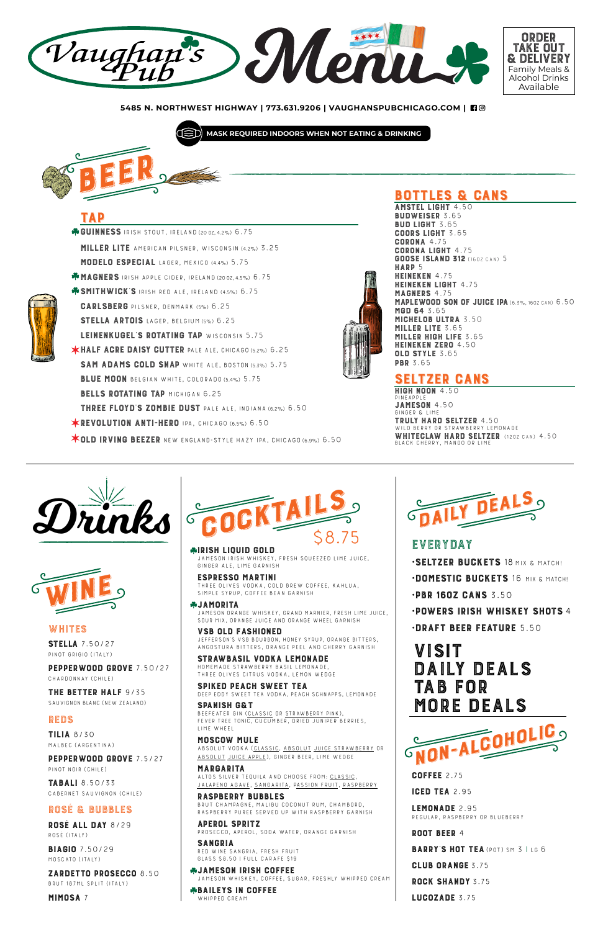**BUDWEISER 3.65 BUD LIGHT 3.65** BUD LIGHT 3.65<br>Coorsight 3 GUURS LIGHT 3.65<br>Codona 4.75 CORONA 4.75 CORONA LIGHT 4.75 **GOOSE ISLAND 312** (160Z CAN) 5<br>**HARP** 5 HEINEKEN 4.75 HEINEKEN 4.75 HEINEKEN LIGHT 4.75<br>MAGNEDS 4.75 MAGNERS 4.75<br>Madifwnnn Sn **MAPLEWOOD SON OF JUICE IPA** (6.3%, 160Z CAN) 6.50<br>MGD 64 3 65 MGD 64 3.65<br>Michelor III' **MICHELOB ULTRA 3.50<br>MILLED LITE 3 65** MILLER LITE 5.65<br>Milled High Life MILLER HIGH LIFE 3.65<br>Heineken 7eda 4 50 HEINEKEN ZERO 4.50 OLD STYLE 3.65 PBR 3.65

## TAP

BEER !

GUINNESS IRISH STOUT, IRELAND (20 0Z, 4.2%) 6.75 MILLER LITE American pilsner, Wisconsin (4.2%) 3.25 MODELO ESPECIAL Lager, Mexico (4.4%) 5.75 **MAGNERS** IRISH APPLE CIDER, IRELAND (20 0Z, 4.5%) 6.75 **SMITHWICK'S IRISH RED ALE, IRELAND (4.5%) 6.75** CARLSBERG Pilsner, Denmark (5%) 6.25 STELLA ARTOIS LAGER, BELGIUM (5%) 6.25 LEINENKUGEL'S ROTATING TAP WISCONSIN 5.75 **\*HALF AGRE DAISY CUTTER PALE ALE, CHICAGO (5.2%) 6.25** SAM ADAMS COLD SNAP WHITE ALE, BOSTON (5.3%) 5.75 BLUE MOON BELGIAN WHITE, COLORADO (5.4%) 5.75 BELLS ROTATING TAP MICHIGAN 6.25 THREE FLOYD'S ZOMBIE DUST Pale Ale, Indiana (6.2%) 6.50 **\*REVOLUTION ANTI-HERO IPA, CHICAGO (6.5%) 6.50** 

**VOLD IRVING BEEZER** NEW ENGLAND-STYLE HAZY IPA, CHICAGO (6.9%) 6.50

# **BOTTLES & CANS**<br>Amstel light 4.50

LEMUNAUE 2.95<br>Deginad Dasdreddy Regular, Raspberry or Blueberry

### **irish Liquid Guld**<br>Jameson Irish whiskey, fresh squeezed lime juice,<br>Singer Ale, Lime Carnish ginger ale, lime garnish

**ESPRESSO MARTINI**<br>THREE OLIVES VODKA, COLD BREW COFFEE, KAHLUA, SIMPLE SYRUP, COFFEE BEAN GARNISH

**\*JAMORITA**<br>JAMESON ORANGE WHISKEY, GRAND MARNIER, FRESH LIME JUICE. Jameson Orange Whiskey, Grand Marnier, fresh lime juice, sour mix, orange juice and orange wheel garnish

ANGOSTURA BITTERS, ORANGE PEEL AND CHERRY GARNISH<br>**STRAWBASIL VODKA LEMONADE** HOMEMADE STRAWBERRY BASIL LEMONADE. Homemade strawberry basil lemonade,

SPANISH G&T<br>Beefeater gin (<u>Classic</u> or <u>Strawberry Pink</u>),<br>Eeven tree tonic, Cucumber, Dried, Uinider be Fever Tree tonic, cucumber, dried juniper berries,

## LIME WHEEL<br>MOSCOW MULE

COFFEE 2.75

ICED TEA 2.95

RASPBERRY BUBBLES<br>BRUT CHAMPAGNE, MALIBU COCONUT RUM, CHAMBORD, BRUT CHAMPAGNE, MALIBU COCONUT RUM, CHAMBORD,<br>DASDREDDY DUDEE SEDVED UD WITH DASDREDDY CADNIS raspberry puree served up with raspberry garnish

ROOT BEER 4

BARRY'S HOT TEA (POT) SM 3 | LG 6

CLUB ORANGE 3.75

SANGRIA<br>Red wine sangria, fresh fruit<br>Class Se 50 LEULL CARAEE \$10 Glass \$8.50 | Full Carafe \$19

ROCK SHANDY 3.75

LUCOZADE 3.75

#### **\*BAILEYS IN COFFEE** whipped cream

PEPPERWOOD GROVE 7.50/27 Chardonnay (Chile)

ROSÉ ALL DAY 8/29 Rosé (Italy)

**BIAGIO 7.50/29** MOSCATO (Italy)

VSB OLD FASHIONED Jefferson's VSB Bourbon, honey syrup, orange bitters,

**SELTZER GANS**<br>HIGH NOON 4.50 HIGH NOON 4.50 **JAMESON 4.50** JAMESON 4.50 Ginger & Lime **TRULY HARD SELTZER** 4.50<br>WILD BERRY OR STRAWBERRY LEMONADE WILD BERRY OR STRAWBERRY LEMONADE<br>WILLEEOLAW HARR OFFERER WHITECLAW HARD SELTZER (120Z CAN) 4.50<br>BLACK CHERRY, MANGO OR LIME Black Cherry, Mango or lime



# VISII<br>Daily DAILY DEALS IAB FUR<br>MORE DE MORE DEALS

Three Olives citrus vodka, lemon wedge

### THE BETTER HALF 9/35



SAUVIGNON BLANC (NEW ZEALAND)

## EVERYDAY

SPIKED PEACH SWEET TEA Deep Eddy Sweet Tea Vodka, Peach Schnapps, Lemonade

MOSCOW MULE Absolut vodka (Classic, Absolut Juice Strawberry or Absolut Juice Apple), ginger beer, lime wedge

MARGARITA Altos Silver tequila and CHOOSE FROM: Classic, Jalapeno Agave, Sangarita, Passion Fruit, raspberry

# APEROL SPRITZ Prosecco, Aperol, soda water, orange garnish

JAMESON IRISH COFFEE Jameson whiskey, coffee, sugar, freshly whipped cream

### WHITES

STELLA 7.50/27 Pinot Grigio (Italy)

### REDS

TILIA 8/30 Malbec (Argentina)

#### PEPPERWOOD GROVE 7.5/27

Pinot Noir (chile)

TABALI 8.50/33 Cabernet Sauvignon (Chile)

## ROSÉ & BUBBLES

ZARDETTO PROSECCO 8.50 Brut 187ml split (Italy)

MIMOSA 7







- •SELTZER BUCKETS 18 MIX & MATCH!
- •DOMESTIC BUCKETS 16 MIX & MATCH!
- •PBR 16OZ CANS 3.50
- •POWERS IRISH WHISKEY SHOTS 4
- •DRAFT BEER FEATURE 5.50

**5485 N. NORTHWEST HIGHWAY | 773.631.9206 | VAUGHANSPUBCHICAGO.COM |** 

**MASK REQUIRED INDOORS WHEN NOT EATING & DRINKING**